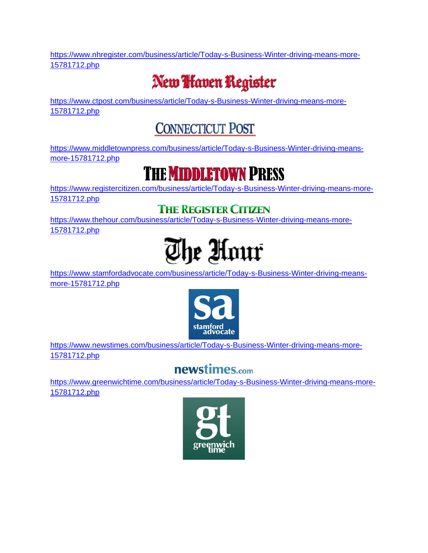[https://www.nhregister.com/business/article/Today-s-Business-Winter-driving-means-more-](https://www.nhregister.com/business/article/Today-s-Business-Winter-driving-means-more-15781712.php)[15781712.php](https://www.nhregister.com/business/article/Today-s-Business-Winter-driving-means-more-15781712.php)

# New **Ifaven Register**

[https://www.ctpost.com/business/article/Today-s-Business-Winter-driving-means-more-](https://www.ctpost.com/business/article/Today-s-Business-Winter-driving-means-more-15781712.php)[15781712.php](https://www.ctpost.com/business/article/Today-s-Business-Winter-driving-means-more-15781712.php)

### **CONNECTICUT POST**

[https://www.middletownpress.com/business/article/Today-s-Business-Winter-driving-means](https://www.middletownpress.com/business/article/Today-s-Business-Winter-driving-means-more-15781712.php)[more-15781712.php](https://www.middletownpress.com/business/article/Today-s-Business-Winter-driving-means-more-15781712.php)

### **THE MIDDLETOWN PRESS**

[https://www.registercitizen.com/business/article/Today-s-Business-Winter-driving-means-more-](https://www.registercitizen.com/business/article/Today-s-Business-Winter-driving-means-more-15781712.php)[15781712.php](https://www.registercitizen.com/business/article/Today-s-Business-Winter-driving-means-more-15781712.php)

#### **THE REGISTER CITIZEN**

[https://www.thehour.com/business/article/Today-s-Business-Winter-driving-means-more-](https://www.thehour.com/business/article/Today-s-Business-Winter-driving-means-more-15781712.php)[15781712.php](https://www.thehour.com/business/article/Today-s-Business-Winter-driving-means-more-15781712.php)



[https://www.stamfordadvocate.com/business/article/Today-s-Business-Winter-driving-means](https://www.stamfordadvocate.com/business/article/Today-s-Business-Winter-driving-means-more-15781712.php)[more-15781712.php](https://www.stamfordadvocate.com/business/article/Today-s-Business-Winter-driving-means-more-15781712.php)



[https://www.newstimes.com/business/article/Today-s-Business-Winter-driving-means-more-](https://www.newstimes.com/business/article/Today-s-Business-Winter-driving-means-more-15781712.php)[15781712.php](https://www.newstimes.com/business/article/Today-s-Business-Winter-driving-means-more-15781712.php)

### newstimes.com

[https://www.greenwichtime.com/business/article/Today-s-Business-Winter-driving-means-more-](https://www.greenwichtime.com/business/article/Today-s-Business-Winter-driving-means-more-15781712.php)[15781712.php](https://www.greenwichtime.com/business/article/Today-s-Business-Winter-driving-means-more-15781712.php)

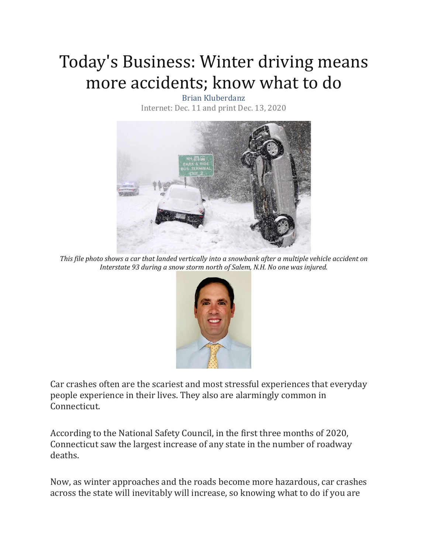# Today's Business: Winter driving means more accidents; know what to do

Brian Kluberdanz Internet: Dec. 11 and print Dec. 13, 2020



*This file photo shows a car that landed vertically into a snowbank after a multiple vehicle accident on Interstate 93 during a snow storm north of Salem, N.H. No one was injured.*



Car crashes often are the scariest and most stressful experiences that everyday people experience in their lives. They also are alarmingly common in Connecticut.

According to the National Safety Council, in the first three months of 2020, Connecticut saw the largest increase of any state in the number of roadway deaths.

Now, as winter approaches and the roads become more hazardous, car crashes across the state will inevitably will increase, so knowing what to do if you are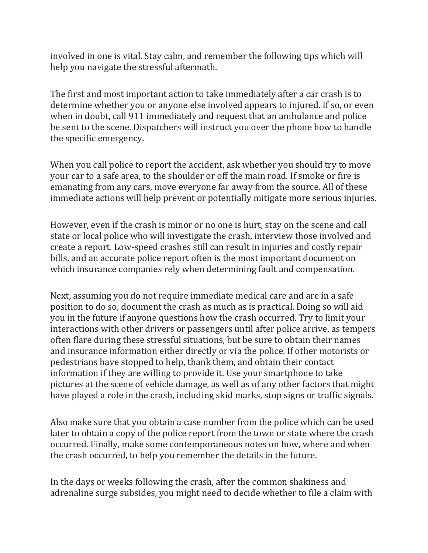involved in one is vital. Stay calm, and remember the following tips which will help you navigate the stressful aftermath.

The first and most important action to take immediately after a car crash is to determine whether you or anyone else involved appears to injured. If so, or even when in doubt, call 911 immediately and request that an ambulance and police be sent to the scene. Dispatchers will instruct you over the phone how to handle the specific emergency.

When you call police to report the accident, ask whether you should try to move your car to a safe area, to the shoulder or off the main road. If smoke or fire is emanating from any cars, move everyone far away from the source. All of these immediate actions will help prevent or potentially mitigate more serious injuries.

However, even if the crash is minor or no one is hurt, stay on the scene and call state or local police who will investigate the crash, interview those involved and create a report. Low-speed crashes still can result in injuries and costly repair bills, and an accurate police report often is the most important document on which insurance companies rely when determining fault and compensation.

Next, assuming you do not require immediate medical care and are in a safe position to do so, document the crash as much as is practical. Doing so will aid you in the future if anyone questions how the crash occurred. Try to limit your interactions with other drivers or passengers until after police arrive, as tempers often flare during these stressful situations, but be sure to obtain their names and insurance information either directly or via the police. If other motorists or pedestrians have stopped to help, thank them, and obtain their contact information if they are willing to provide it. Use your smartphone to take pictures at the scene of vehicle damage, as well as of any other factors that might have played a role in the crash, including skid marks, stop signs or traffic signals.

Also make sure that you obtain a case number from the police which can be used later to obtain a copy of the police report from the town or state where the crash occurred. Finally, make some contemporaneous notes on how, where and when the crash occurred, to help you remember the details in the future.

In the days or weeks following the crash, after the common shakiness and adrenaline surge subsides, you might need to decide whether to file a claim with